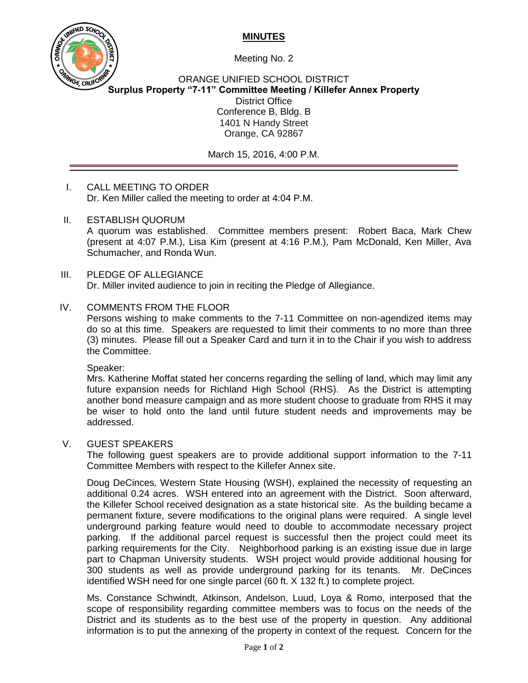# **MINUTES**



Meeting No. 2

ORANGE UNIFIED SCHOOL DISTRICT **Surplus Property "7-11" Committee Meeting / Killefer Annex Property** District Office Conference B, Bldg. B 1401 N Handy Street Orange, CA 92867

March 15, 2016, 4:00 P.M.

# I. CALL MEETING TO ORDER Dr. Ken Miller called the meeting to order at 4:04 P.M.

II. ESTABLISH QUORUM

A quorum was established. Committee members present: Robert Baca, Mark Chew (present at 4:07 P.M.), Lisa Kim (present at 4:16 P.M.), Pam McDonald, Ken Miller, Ava Schumacher, and Ronda Wun.

#### III. PLEDGE OF ALLEGIANCE Dr. Miller invited audience to join in reciting the Pledge of Allegiance.

# IV. COMMENTS FROM THE FLOOR

Persons wishing to make comments to the 7-11 Committee on non-agendized items may do so at this time. Speakers are requested to limit their comments to no more than three (3) minutes. Please fill out a Speaker Card and turn it in to the Chair if you wish to address the Committee.

Speaker:

Mrs. Katherine Moffat stated her concerns regarding the selling of land, which may limit any future expansion needs for Richland High School (RHS). As the District is attempting another bond measure campaign and as more student choose to graduate from RHS it may be wiser to hold onto the land until future student needs and improvements may be addressed.

## V. GUEST SPEAKERS

The following guest speakers are to provide additional support information to the 7-11 Committee Members with respect to the Killefer Annex site.

Doug DeCinces*,* Western State Housing (WSH), explained the necessity of requesting an additional 0.24 acres. WSH entered into an agreement with the District. Soon afterward, the Killefer School received designation as a state historical site. As the building became a permanent fixture, severe modifications to the original plans were required. A single level underground parking feature would need to double to accommodate necessary project parking. If the additional parcel request is successful then the project could meet its parking requirements for the City. Neighborhood parking is an existing issue due in large part to Chapman University students. WSH project would provide additional housing for 300 students as well as provide underground parking for its tenants. Mr. DeCinces identified WSH need for one single parcel (60 ft. X 132 ft.) to complete project.

Ms. Constance Schwindt, Atkinson, Andelson, Luud, Loya & Romo, interposed that the scope of responsibility regarding committee members was to focus on the needs of the District and its students as to the best use of the property in question. Any additional information is to put the annexing of the property in context of the request. Concern for the